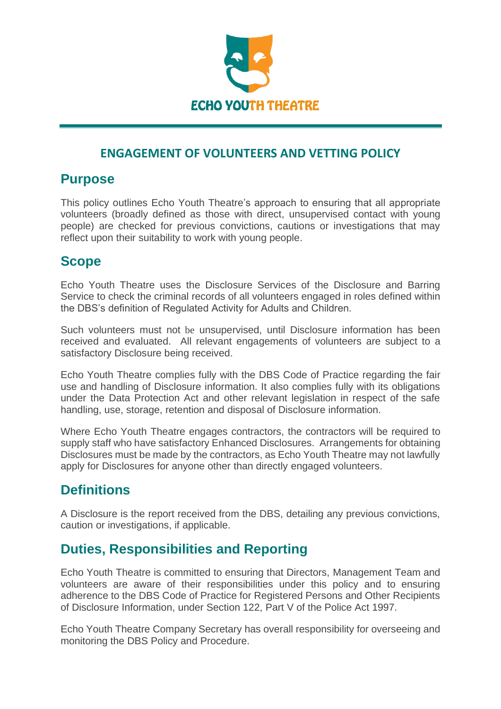

#### **ENGAGEMENT OF VOLUNTEERS AND VETTING POLICY**

#### **Purpose**

This policy outlines Echo Youth Theatre's approach to ensuring that all appropriate volunteers (broadly defined as those with direct, unsupervised contact with young people) are checked for previous convictions, cautions or investigations that may reflect upon their suitability to work with young people.

## **Scope**

Echo Youth Theatre uses the Disclosure Services of the Disclosure and Barring Service to check the criminal records of all volunteers engaged in roles defined within the DBS's definition of Regulated Activity for Adults and Children.

Such volunteers must not be unsupervised, until Disclosure information has been received and evaluated. All relevant engagements of volunteers are subject to a satisfactory Disclosure being received.

Echo Youth Theatre complies fully with the DBS Code of Practice regarding the fair use and handling of Disclosure information. It also complies fully with its obligations under the Data Protection Act and other relevant legislation in respect of the safe handling, use, storage, retention and disposal of Disclosure information.

Where Echo Youth Theatre engages contractors, the contractors will be required to supply staff who have satisfactory Enhanced Disclosures. Arrangements for obtaining Disclosures must be made by the contractors, as Echo Youth Theatre may not lawfully apply for Disclosures for anyone other than directly engaged volunteers.

## **Definitions**

A Disclosure is the report received from the DBS, detailing any previous convictions, caution or investigations, if applicable.

### **Duties, Responsibilities and Reporting**

Echo Youth Theatre is committed to ensuring that Directors, Management Team and volunteers are aware of their responsibilities under this policy and to ensuring adherence to the DBS Code of Practice for Registered Persons and Other Recipients of Disclosure Information, under Section 122, Part V of the Police Act 1997.

Echo Youth Theatre Company Secretary has overall responsibility for overseeing and monitoring the DBS Policy and Procedure.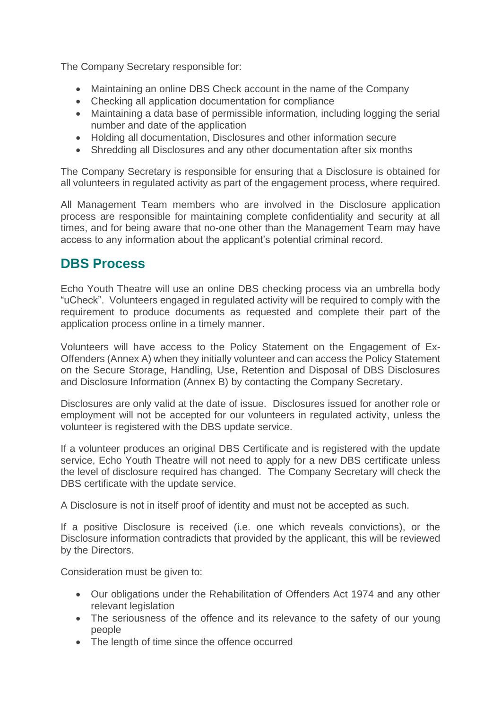The Company Secretary responsible for:

- Maintaining an online DBS Check account in the name of the Company
- Checking all application documentation for compliance
- Maintaining a data base of permissible information, including logging the serial number and date of the application
- Holding all documentation, Disclosures and other information secure
- Shredding all Disclosures and any other documentation after six months

The Company Secretary is responsible for ensuring that a Disclosure is obtained for all volunteers in regulated activity as part of the engagement process, where required.

All Management Team members who are involved in the Disclosure application process are responsible for maintaining complete confidentiality and security at all times, and for being aware that no-one other than the Management Team may have access to any information about the applicant's potential criminal record.

### **DBS Process**

Echo Youth Theatre will use an online DBS checking process via an umbrella body "uCheck". Volunteers engaged in regulated activity will be required to comply with the requirement to produce documents as requested and complete their part of the application process online in a timely manner.

Volunteers will have access to the Policy Statement on the Engagement of Ex-Offenders (Annex A) when they initially volunteer and can access the Policy Statement on the Secure Storage, Handling, Use, Retention and Disposal of DBS Disclosures and Disclosure Information (Annex B) by contacting the Company Secretary.

Disclosures are only valid at the date of issue. Disclosures issued for another role or employment will not be accepted for our volunteers in regulated activity, unless the volunteer is registered with the DBS update service.

If a volunteer produces an original DBS Certificate and is registered with the update service, Echo Youth Theatre will not need to apply for a new DBS certificate unless the level of disclosure required has changed. The Company Secretary will check the DBS certificate with the update service.

A Disclosure is not in itself proof of identity and must not be accepted as such.

If a positive Disclosure is received (i.e. one which reveals convictions), or the Disclosure information contradicts that provided by the applicant, this will be reviewed by the Directors.

Consideration must be given to:

- Our obligations under the Rehabilitation of Offenders Act 1974 and any other relevant legislation
- The seriousness of the offence and its relevance to the safety of our young people
- The length of time since the offence occurred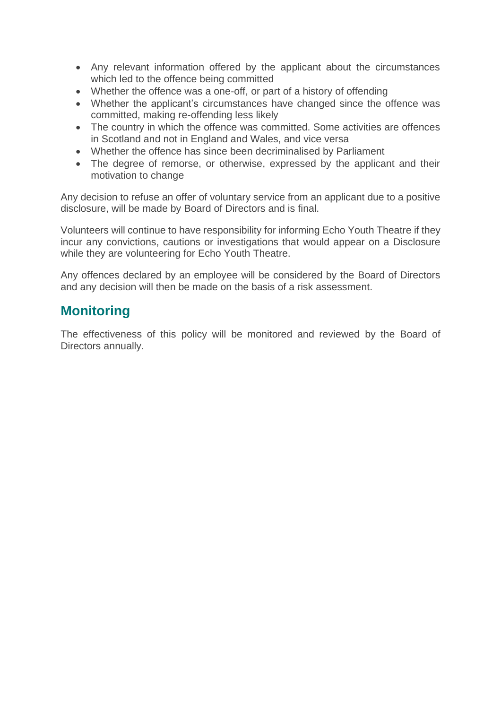- Any relevant information offered by the applicant about the circumstances which led to the offence being committed
- Whether the offence was a one-off, or part of a history of offending
- Whether the applicant's circumstances have changed since the offence was committed, making re-offending less likely
- The country in which the offence was committed. Some activities are offences in Scotland and not in England and Wales, and vice versa
- Whether the offence has since been decriminalised by Parliament
- The degree of remorse, or otherwise, expressed by the applicant and their motivation to change

Any decision to refuse an offer of voluntary service from an applicant due to a positive disclosure, will be made by Board of Directors and is final.

Volunteers will continue to have responsibility for informing Echo Youth Theatre if they incur any convictions, cautions or investigations that would appear on a Disclosure while they are volunteering for Echo Youth Theatre.

Any offences declared by an employee will be considered by the Board of Directors and any decision will then be made on the basis of a risk assessment.

### **Monitoring**

The effectiveness of this policy will be monitored and reviewed by the Board of Directors annually.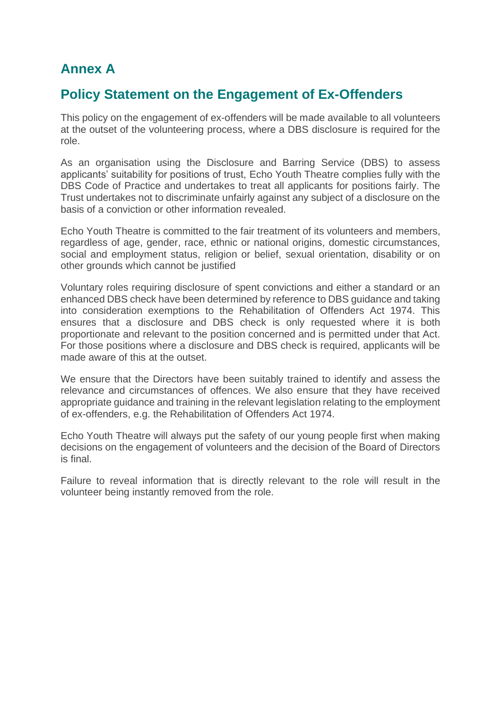## **Annex A**

#### **Policy Statement on the Engagement of Ex-Offenders**

This policy on the engagement of ex-offenders will be made available to all volunteers at the outset of the volunteering process, where a DBS disclosure is required for the role.

As an organisation using the Disclosure and Barring Service (DBS) to assess applicants' suitability for positions of trust, Echo Youth Theatre complies fully with the DBS Code of Practice and undertakes to treat all applicants for positions fairly. The Trust undertakes not to discriminate unfairly against any subject of a disclosure on the basis of a conviction or other information revealed.

Echo Youth Theatre is committed to the fair treatment of its volunteers and members, regardless of age, gender, race, ethnic or national origins, domestic circumstances, social and employment status, religion or belief, sexual orientation, disability or on other grounds which cannot be justified

Voluntary roles requiring disclosure of spent convictions and either a standard or an enhanced DBS check have been determined by reference to DBS guidance and taking into consideration exemptions to the Rehabilitation of Offenders Act 1974. This ensures that a disclosure and DBS check is only requested where it is both proportionate and relevant to the position concerned and is permitted under that Act. For those positions where a disclosure and DBS check is required, applicants will be made aware of this at the outset.

We ensure that the Directors have been suitably trained to identify and assess the relevance and circumstances of offences. We also ensure that they have received appropriate guidance and training in the relevant legislation relating to the employment of ex-offenders, e.g. the Rehabilitation of Offenders Act 1974.

Echo Youth Theatre will always put the safety of our young people first when making decisions on the engagement of volunteers and the decision of the Board of Directors is final.

Failure to reveal information that is directly relevant to the role will result in the volunteer being instantly removed from the role.